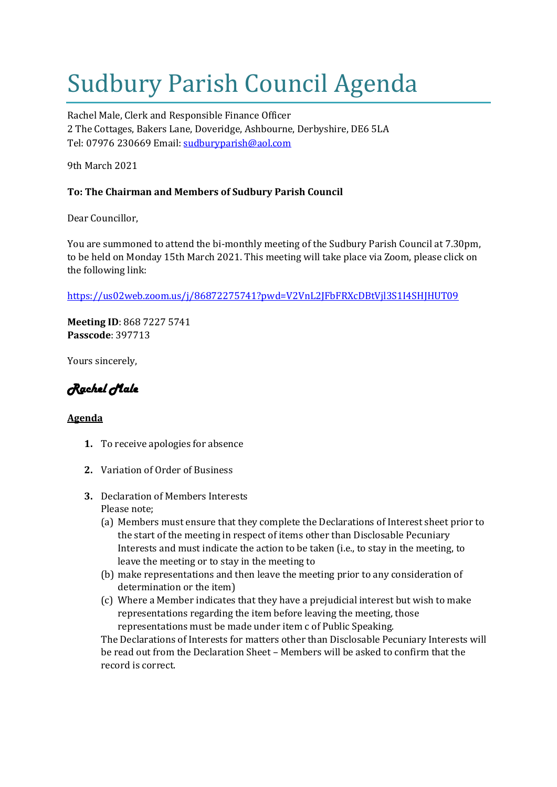## Sudbury Parish Council Agenda

Rachel Male, Clerk and Responsible Finance Officer 2 The Cottages, Bakers Lane, Doveridge, Ashbourne, Derbyshire, DE6 5LA Tel: 07976 230669 Email: [sudburyparish@aol.com](mailto:sudburyparish@aol.com)

9th March 2021

## **To: The Chairman and Members of Sudbury Parish Council**

Dear Councillor,

You are summoned to attend the bi-monthly meeting of the Sudbury Parish Council at 7.30pm, to be held on Monday 15th March 2021. This meeting will take place via Zoom, please click on the following link:

<https://us02web.zoom.us/j/86872275741?pwd=V2VnL2JFbFRXcDBtVjl3S1I4SHJHUT09>

**Meeting ID**: 868 7227 5741 **Passcode**: 397713

Yours sincerely,

*Rachel Male* 

## **Agenda**

- **1.** To receive apologies for absence
- **2.** Variation of Order of Business
- **3.** Declaration of Members Interests Please note;
	- (a) Members must ensure that they complete the Declarations of Interest sheet prior to the start of the meeting in respect of items other than Disclosable Pecuniary Interests and must indicate the action to be taken (i.e., to stay in the meeting, to leave the meeting or to stay in the meeting to
	- (b) make representations and then leave the meeting prior to any consideration of determination or the item)
	- (c) Where a Member indicates that they have a prejudicial interest but wish to make representations regarding the item before leaving the meeting, those representations must be made under item c of Public Speaking.

The Declarations of Interests for matters other than Disclosable Pecuniary Interests will be read out from the Declaration Sheet – Members will be asked to confirm that the record is correct.